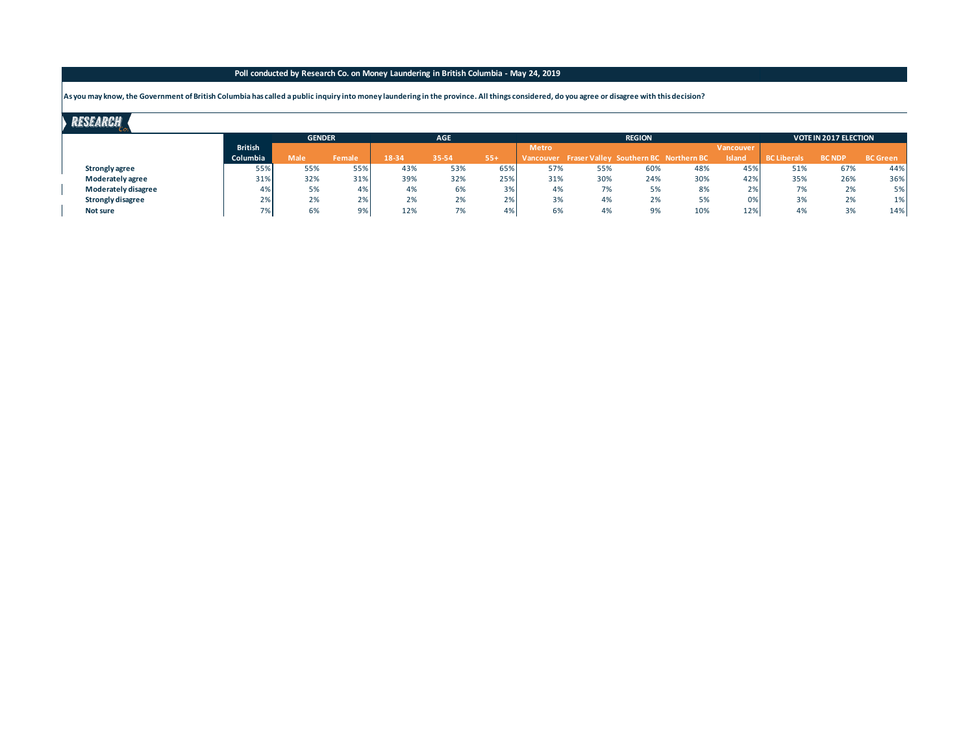## **Poll conducted by Research Co. on Money Laundering in British Columbia - May 24, 2019**

**As you may know, the Government of British Columbia has called a public inquiry into money laundering in the province. All things considered, do you agree or disagree with this decision?**

## **RESEARCH**

|                     |                       | <b>GENDER</b> |               |       | <b>AGE</b> |       |              |                                                 | <b>REGION</b> | <b>VOTE IN 2017 ELECTION</b> |               |                                |               |                 |
|---------------------|-----------------------|---------------|---------------|-------|------------|-------|--------------|-------------------------------------------------|---------------|------------------------------|---------------|--------------------------------|---------------|-----------------|
|                     | <b>British</b>        |               |               |       |            |       | <b>Metro</b> |                                                 |               |                              | Vancouver     |                                |               |                 |
|                     | Columbia              | <b>Male</b>   | <b>Female</b> | 18-34 | 35-54      | $55+$ |              | Vancouver Fraser Valley Southern BC Northern BC |               |                              | <b>Island</b> | <b>BC Liberals</b>             | <b>BC NDP</b> | <b>BC</b> Green |
| Strongly agree      | 55%                   | 55%           | 55%           | 43%   | 53%        | 65%   | 57%          | 55%                                             | 60%           | 48%                          | 45%           | 51%                            | 67%           | 44%             |
| Moderately agree    | 31%                   | 32%           | 31%           | 39%   | 32%        | 25%   | 31%          | 30%                                             | 24%           | 30%                          | 42%           | 35%                            | 26%           | 36%             |
| Moderately disagree | 4%                    | 5%            | 4%            | 4%    | 6%         | 3%    | 4%           | 7%                                              | 5%            | 8%                           | 2%            | $\overline{\phantom{a}}$<br>/% | 2%            | 5%              |
| Strongly disagree   | 20 <sup>2</sup><br>2% | 2%            | 2%            | 2%    | 2%         | 2%    | 3%           | 4%                                              | 2%            | 5%                           |               | 3%                             | 2%            | 1%              |
| Not sure            | 7%                    | 6%            | 9%            | 12%   | 7%         | 4%    | 6%           | 4%                                              | 9%            | 10%                          | 12%           | 0 <sup>0</sup><br>4%           | 3%            | 14%             |